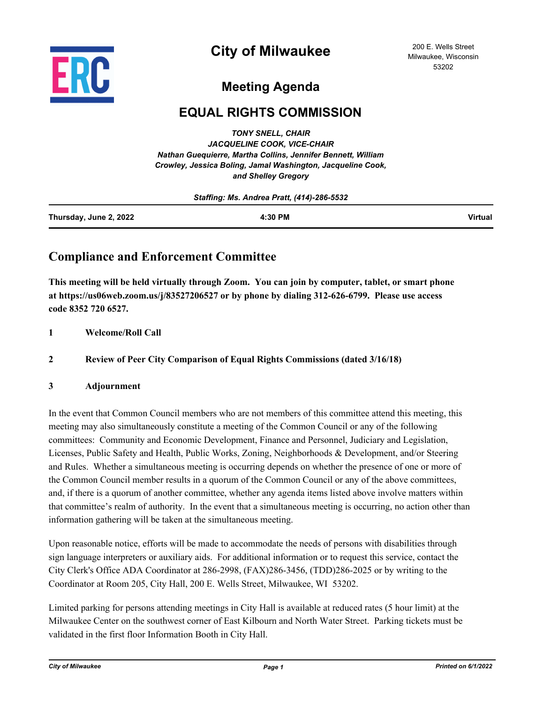

# **City of Milwaukee**

200 E. Wells Street Milwaukee, Wisconsin 53202

## **Meeting Agenda**

## **EQUAL RIGHTS COMMISSION**

*TONY SNELL, CHAIR JACQUELINE COOK, VICE-CHAIR Nathan Guequierre, Martha Collins, Jennifer Bennett, William Crowley, Jessica Boling, Jamal Washington, Jacqueline Cook, and Shelley Gregory*

| Staffing: Ms. Andrea Pratt, (414)-286-5532 |         |                |
|--------------------------------------------|---------|----------------|
| Thursday, June 2, 2022                     | 4:30 PM | <b>Virtual</b> |

### **Compliance and Enforcement Committee**

**This meeting will be held virtually through Zoom. You can join by computer, tablet, or smart phone at https://us06web.zoom.us/j/83527206527 or by phone by dialing 312-626-6799. Please use access code 8352 720 6527.**

#### **1 Welcome/Roll Call**

### **2 Review of Peer City Comparison of Equal Rights Commissions (dated 3/16/18)**

#### **3 Adjournment**

In the event that Common Council members who are not members of this committee attend this meeting, this meeting may also simultaneously constitute a meeting of the Common Council or any of the following committees: Community and Economic Development, Finance and Personnel, Judiciary and Legislation, Licenses, Public Safety and Health, Public Works, Zoning, Neighborhoods & Development, and/or Steering and Rules. Whether a simultaneous meeting is occurring depends on whether the presence of one or more of the Common Council member results in a quorum of the Common Council or any of the above committees, and, if there is a quorum of another committee, whether any agenda items listed above involve matters within that committee's realm of authority. In the event that a simultaneous meeting is occurring, no action other than information gathering will be taken at the simultaneous meeting.

Upon reasonable notice, efforts will be made to accommodate the needs of persons with disabilities through sign language interpreters or auxiliary aids. For additional information or to request this service, contact the City Clerk's Office ADA Coordinator at 286-2998, (FAX)286-3456, (TDD)286-2025 or by writing to the Coordinator at Room 205, City Hall, 200 E. Wells Street, Milwaukee, WI 53202.

Limited parking for persons attending meetings in City Hall is available at reduced rates (5 hour limit) at the Milwaukee Center on the southwest corner of East Kilbourn and North Water Street. Parking tickets must be validated in the first floor Information Booth in City Hall.